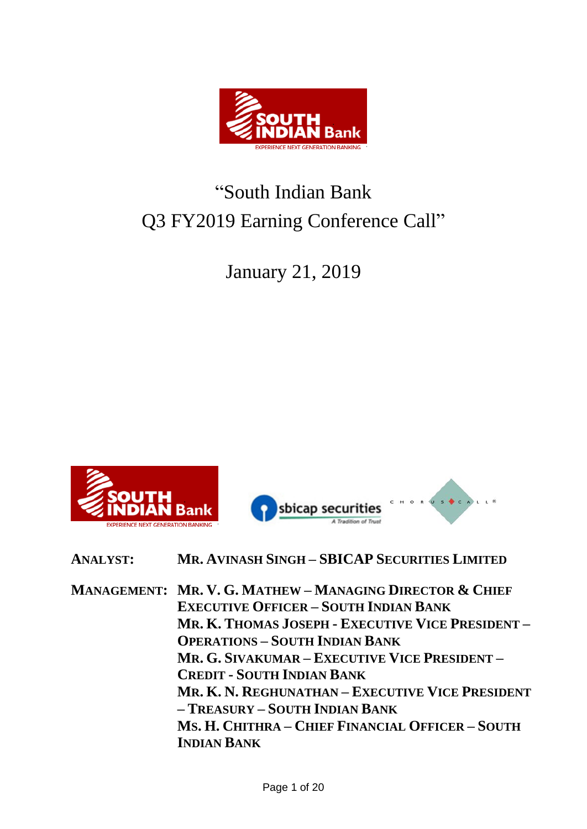

# "South Indian Bank Q3 FY2019 Earning Conference Call"

January 21, 2019



HORUS C

**MANAGEMENT: MR. V. G. MATHEW – MANAGING DIRECTOR & CHIEF EXECUTIVE OFFICER – SOUTH INDIAN BANK MR. K. THOMAS JOSEPH - EXECUTIVE VICE PRESIDENT – OPERATIONS – SOUTH INDIAN BANK MR. G. SIVAKUMAR – EXECUTIVE VICE PRESIDENT – CREDIT - SOUTH INDIAN BANK MR. K. N. REGHUNATHAN – EXECUTIVE VICE PRESIDENT – TREASURY – SOUTH INDIAN BANK MS. H. CHITHRA – CHIEF FINANCIAL OFFICER – SOUTH INDIAN BANK**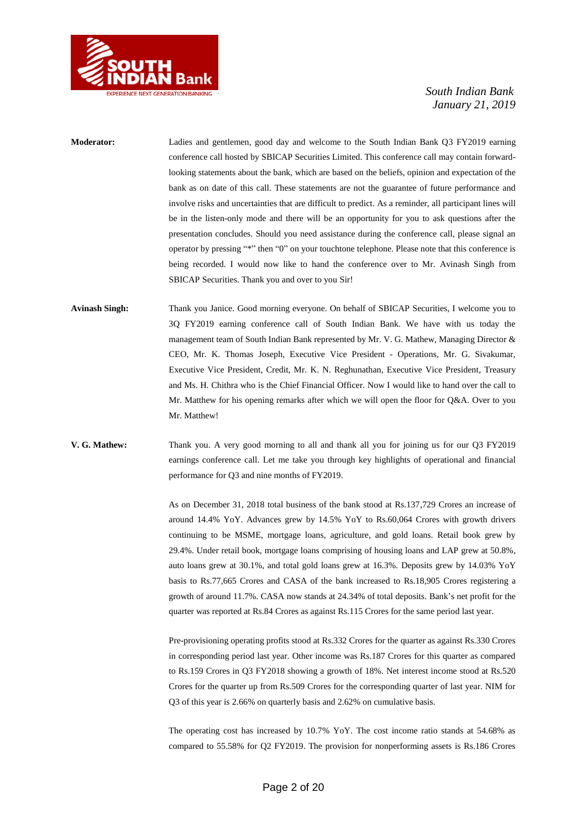

- **Moderator:** Ladies and gentlemen, good day and welcome to the South Indian Bank Q3 FY2019 earning conference call hosted by SBICAP Securities Limited. This conference call may contain forwardlooking statements about the bank, which are based on the beliefs, opinion and expectation of the bank as on date of this call. These statements are not the guarantee of future performance and involve risks and uncertainties that are difficult to predict. As a reminder, all participant lines will be in the listen-only mode and there will be an opportunity for you to ask questions after the presentation concludes. Should you need assistance during the conference call, please signal an operator by pressing "\*" then "0" on your touchtone telephone. Please note that this conference is being recorded. I would now like to hand the conference over to Mr. Avinash Singh from SBICAP Securities. Thank you and over to you Sir!
- **Avinash Singh:** Thank you Janice. Good morning everyone. On behalf of SBICAP Securities, I welcome you to 3Q FY2019 earning conference call of South Indian Bank. We have with us today the management team of South Indian Bank represented by Mr. V. G. Mathew, Managing Director & CEO, Mr. K. Thomas Joseph, Executive Vice President - Operations, Mr. G. Sivakumar, Executive Vice President, Credit, Mr. K. N. Reghunathan, Executive Vice President, Treasury and Ms. H. Chithra who is the Chief Financial Officer. Now I would like to hand over the call to Mr. Matthew for his opening remarks after which we will open the floor for Q&A. Over to you Mr. Matthew!
- **V. G. Mathew:** Thank you. A very good morning to all and thank all you for joining us for our Q3 FY2019 earnings conference call. Let me take you through key highlights of operational and financial performance for Q3 and nine months of FY2019.

As on December 31, 2018 total business of the bank stood at Rs.137,729 Crores an increase of around 14.4% YoY. Advances grew by 14.5% YoY to Rs.60,064 Crores with growth drivers continuing to be MSME, mortgage loans, agriculture, and gold loans. Retail book grew by 29.4%. Under retail book, mortgage loans comprising of housing loans and LAP grew at 50.8%, auto loans grew at 30.1%, and total gold loans grew at 16.3%. Deposits grew by 14.03% YoY basis to Rs.77,665 Crores and CASA of the bank increased to Rs.18,905 Crores registering a growth of around 11.7%. CASA now stands at 24.34% of total deposits. Bank's net profit for the quarter was reported at Rs.84 Crores as against Rs.115 Crores for the same period last year.

Pre-provisioning operating profits stood at Rs.332 Crores for the quarter as against Rs.330 Crores in corresponding period last year. Other income was Rs.187 Crores for this quarter as compared to Rs.159 Crores in Q3 FY2018 showing a growth of 18%. Net interest income stood at Rs.520 Crores for the quarter up from Rs.509 Crores for the corresponding quarter of last year. NIM for Q3 of this year is 2.66% on quarterly basis and 2.62% on cumulative basis.

The operating cost has increased by 10.7% YoY. The cost income ratio stands at 54.68% as compared to 55.58% for Q2 FY2019. The provision for nonperforming assets is Rs.186 Crores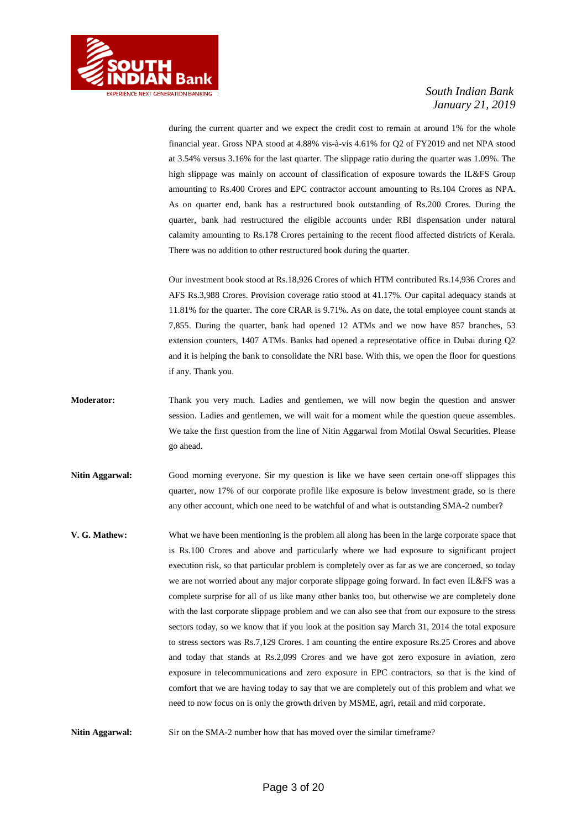

during the current quarter and we expect the credit cost to remain at around 1% for the whole financial year. Gross NPA stood at 4.88% vis-à-vis 4.61% for Q2 of FY2019 and net NPA stood at 3.54% versus 3.16% for the last quarter. The slippage ratio during the quarter was 1.09%. The high slippage was mainly on account of classification of exposure towards the IL&FS Group amounting to Rs.400 Crores and EPC contractor account amounting to Rs.104 Crores as NPA. As on quarter end, bank has a restructured book outstanding of Rs.200 Crores. During the quarter, bank had restructured the eligible accounts under RBI dispensation under natural calamity amounting to Rs.178 Crores pertaining to the recent flood affected districts of Kerala. There was no addition to other restructured book during the quarter.

Our investment book stood at Rs.18,926 Crores of which HTM contributed Rs.14,936 Crores and AFS Rs.3,988 Crores. Provision coverage ratio stood at 41.17%. Our capital adequacy stands at 11.81% for the quarter. The core CRAR is 9.71%. As on date, the total employee count stands at 7,855. During the quarter, bank had opened 12 ATMs and we now have 857 branches, 53 extension counters, 1407 ATMs. Banks had opened a representative office in Dubai during Q2 and it is helping the bank to consolidate the NRI base. With this, we open the floor for questions if any. Thank you.

- **Moderator:** Thank you very much. Ladies and gentlemen, we will now begin the question and answer session. Ladies and gentlemen, we will wait for a moment while the question queue assembles. We take the first question from the line of Nitin Aggarwal from Motilal Oswal Securities. Please go ahead.
- **Nitin Aggarwal:** Good morning everyone. Sir my question is like we have seen certain one-off slippages this quarter, now 17% of our corporate profile like exposure is below investment grade, so is there any other account, which one need to be watchful of and what is outstanding SMA-2 number?
- **V. G. Mathew:** What we have been mentioning is the problem all along has been in the large corporate space that is Rs.100 Crores and above and particularly where we had exposure to significant project execution risk, so that particular problem is completely over as far as we are concerned, so today we are not worried about any major corporate slippage going forward. In fact even IL&FS was a complete surprise for all of us like many other banks too, but otherwise we are completely done with the last corporate slippage problem and we can also see that from our exposure to the stress sectors today, so we know that if you look at the position say March 31, 2014 the total exposure to stress sectors was Rs.7,129 Crores. I am counting the entire exposure Rs.25 Crores and above and today that stands at Rs.2,099 Crores and we have got zero exposure in aviation, zero exposure in telecommunications and zero exposure in EPC contractors, so that is the kind of comfort that we are having today to say that we are completely out of this problem and what we need to now focus on is only the growth driven by MSME, agri, retail and mid corporate.

**Nitin Aggarwal:** Sir on the SMA-2 number how that has moved over the similar timeframe?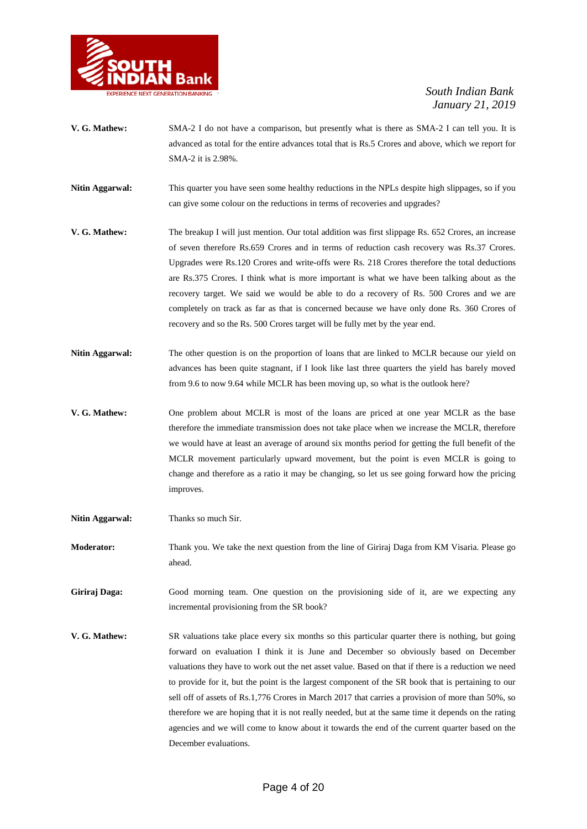

- **V. G. Mathew:** SMA-2 I do not have a comparison, but presently what is there as SMA-2 I can tell you. It is advanced as total for the entire advances total that is Rs.5 Crores and above, which we report for SMA-2 it is 2.98%.
- **Nitin Aggarwal:** This quarter you have seen some healthy reductions in the NPLs despite high slippages, so if you can give some colour on the reductions in terms of recoveries and upgrades?
- **V. G. Mathew:** The breakup I will just mention. Our total addition was first slippage Rs. 652 Crores, an increase of seven therefore Rs.659 Crores and in terms of reduction cash recovery was Rs.37 Crores. Upgrades were Rs.120 Crores and write-offs were Rs. 218 Crores therefore the total deductions are Rs.375 Crores. I think what is more important is what we have been talking about as the recovery target. We said we would be able to do a recovery of Rs. 500 Crores and we are completely on track as far as that is concerned because we have only done Rs. 360 Crores of recovery and so the Rs. 500 Crores target will be fully met by the year end.
- **Nitin Aggarwal:** The other question is on the proportion of loans that are linked to MCLR because our yield on advances has been quite stagnant, if I look like last three quarters the yield has barely moved from 9.6 to now 9.64 while MCLR has been moving up, so what is the outlook here?
- **V. G. Mathew:** One problem about MCLR is most of the loans are priced at one year MCLR as the base therefore the immediate transmission does not take place when we increase the MCLR, therefore we would have at least an average of around six months period for getting the full benefit of the MCLR movement particularly upward movement, but the point is even MCLR is going to change and therefore as a ratio it may be changing, so let us see going forward how the pricing improves.
- Nitin Aggarwal: Thanks so much Sir.
- **Moderator:** Thank you. We take the next question from the line of Giriraj Daga from KM Visaria. Please go ahead.
- Giriraj Daga: Good morning team. One question on the provisioning side of it, are we expecting any incremental provisioning from the SR book?
- **V. G. Mathew:** SR valuations take place every six months so this particular quarter there is nothing, but going forward on evaluation I think it is June and December so obviously based on December valuations they have to work out the net asset value. Based on that if there is a reduction we need to provide for it, but the point is the largest component of the SR book that is pertaining to our sell off of assets of Rs.1,776 Crores in March 2017 that carries a provision of more than 50%, so therefore we are hoping that it is not really needed, but at the same time it depends on the rating agencies and we will come to know about it towards the end of the current quarter based on the December evaluations.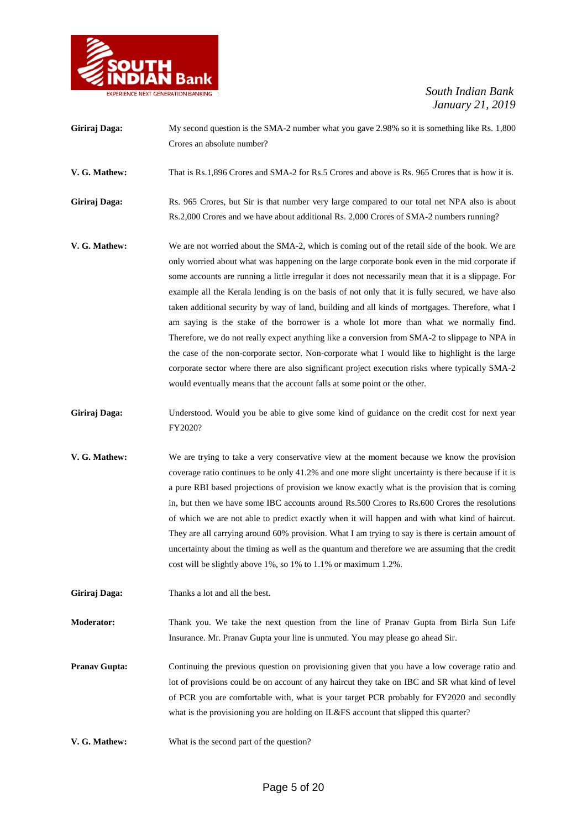

| Giriraj Daga: | My second question is the SMA-2 number what you gave 2.98% so it is something like Rs. 1,800         |
|---------------|------------------------------------------------------------------------------------------------------|
|               | Crores an absolute number?                                                                           |
| V. G. Mathew: | That is Rs.1,896 Crores and SMA-2 for Rs.5 Crores and above is Rs. 965 Crores that is how it is.     |
| Giriraj Daga: | Rs. 965 Crores, but Sir is that number very large compared to our total net NPA also is about        |
|               | Rs.2,000 Crores and we have about additional Rs. 2,000 Crores of SMA-2 numbers running?              |
| V. G. Mathew: | We are not worried about the SMA-2, which is coming out of the retail side of the book. We are       |
|               | only worried about what was happening on the large corporate book even in the mid corporate if       |
|               | some accounts are running a little irregular it does not necessarily mean that it is a slippage. For |
|               | example all the Kerala lending is on the basis of not only that it is fully secured, we have also    |
|               | taken additional security by way of land, building and all kinds of mortgages. Therefore, what I     |
|               | am saying is the stake of the borrower is a whole lot more than what we normally find.               |
|               | Therefore, we do not really expect anything like a conversion from SMA-2 to slippage to NPA in       |
|               | the case of the non-corporate sector. Non-corporate what I would like to highlight is the large      |

Giriraj Daga: Understood. Would you be able to give some kind of guidance on the credit cost for next year FY2020?

would eventually means that the account falls at some point or the other.

corporate sector where there are also significant project execution risks where typically SMA-2

- **V. G. Mathew:** We are trying to take a very conservative view at the moment because we know the provision coverage ratio continues to be only 41.2% and one more slight uncertainty is there because if it is a pure RBI based projections of provision we know exactly what is the provision that is coming in, but then we have some IBC accounts around Rs.500 Crores to Rs.600 Crores the resolutions of which we are not able to predict exactly when it will happen and with what kind of haircut. They are all carrying around 60% provision. What I am trying to say is there is certain amount of uncertainty about the timing as well as the quantum and therefore we are assuming that the credit cost will be slightly above 1%, so 1% to 1.1% or maximum 1.2%.
- **Giriraj Daga:** Thanks a lot and all the best.
- **Moderator:** Thank you. We take the next question from the line of Pranav Gupta from Birla Sun Life Insurance. Mr. Pranav Gupta your line is unmuted. You may please go ahead Sir.

**Pranav Gupta:** Continuing the previous question on provisioning given that you have a low coverage ratio and lot of provisions could be on account of any haircut they take on IBC and SR what kind of level of PCR you are comfortable with, what is your target PCR probably for FY2020 and secondly what is the provisioning you are holding on IL&FS account that slipped this quarter?

**V. G. Mathew:** What is the second part of the question?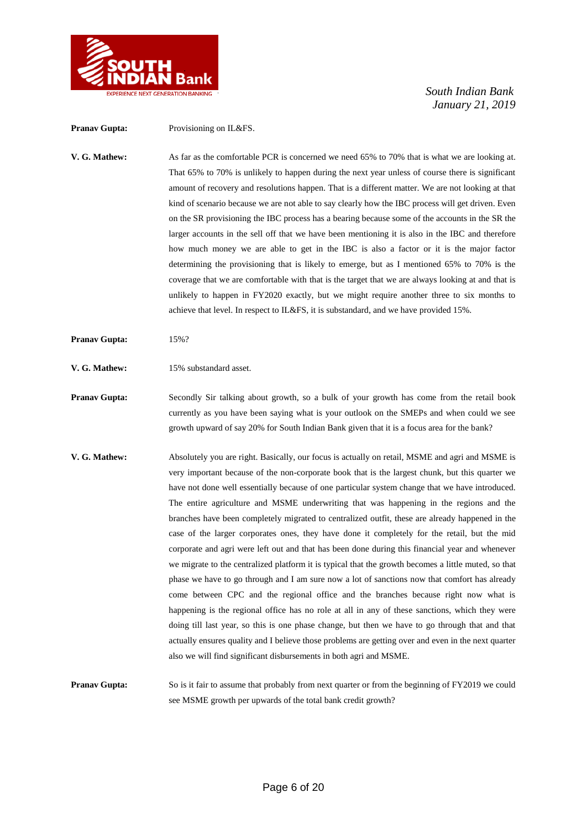

**Pranav Gupta:** Provisioning on IL&FS. **V. G. Mathew:** As far as the comfortable PCR is concerned we need 65% to 70% that is what we are looking at. That 65% to 70% is unlikely to happen during the next year unless of course there is significant amount of recovery and resolutions happen. That is a different matter. We are not looking at that kind of scenario because we are not able to say clearly how the IBC process will get driven. Even on the SR provisioning the IBC process has a bearing because some of the accounts in the SR the larger accounts in the sell off that we have been mentioning it is also in the IBC and therefore how much money we are able to get in the IBC is also a factor or it is the major factor determining the provisioning that is likely to emerge, but as I mentioned 65% to 70% is the coverage that we are comfortable with that is the target that we are always looking at and that is unlikely to happen in FY2020 exactly, but we might require another three to six months to achieve that level. In respect to IL&FS, it is substandard, and we have provided 15%.

- **Pranav Gupta:** 15%?
- **V. G. Mathew:** 15% substandard asset.

**Pranav Gupta:** Secondly Sir talking about growth, so a bulk of your growth has come from the retail book currently as you have been saying what is your outlook on the SMEPs and when could we see growth upward of say 20% for South Indian Bank given that it is a focus area for the bank?

**V. G. Mathew:** Absolutely you are right. Basically, our focus is actually on retail, MSME and agri and MSME is very important because of the non-corporate book that is the largest chunk, but this quarter we have not done well essentially because of one particular system change that we have introduced. The entire agriculture and MSME underwriting that was happening in the regions and the branches have been completely migrated to centralized outfit, these are already happened in the case of the larger corporates ones, they have done it completely for the retail, but the mid corporate and agri were left out and that has been done during this financial year and whenever we migrate to the centralized platform it is typical that the growth becomes a little muted, so that phase we have to go through and I am sure now a lot of sanctions now that comfort has already come between CPC and the regional office and the branches because right now what is happening is the regional office has no role at all in any of these sanctions, which they were doing till last year, so this is one phase change, but then we have to go through that and that actually ensures quality and I believe those problems are getting over and even in the next quarter also we will find significant disbursements in both agri and MSME.

**Pranav Gupta:** So is it fair to assume that probably from next quarter or from the beginning of FY2019 we could see MSME growth per upwards of the total bank credit growth?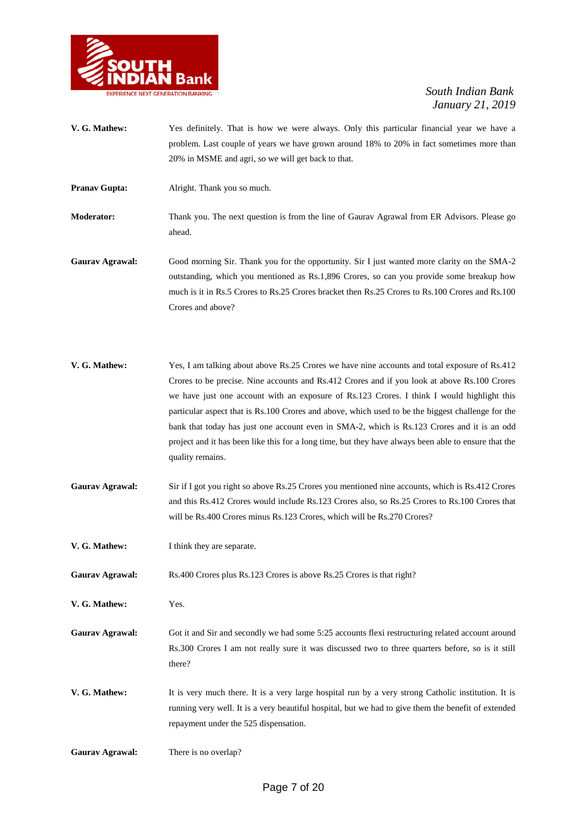

- **V. G. Mathew:** Yes definitely. That is how we were always. Only this particular financial year we have a problem. Last couple of years we have grown around 18% to 20% in fact sometimes more than 20% in MSME and agri, so we will get back to that.
- **Pranav Gupta:** Alright. Thank you so much.

**Moderator:** Thank you. The next question is from the line of Gaurav Agrawal from ER Advisors. Please go ahead.

**Gaurav Agrawal:** Good morning Sir. Thank you for the opportunity. Sir I just wanted more clarity on the SMA-2 outstanding, which you mentioned as Rs.1,896 Crores, so can you provide some breakup how much is it in Rs.5 Crores to Rs.25 Crores bracket then Rs.25 Crores to Rs.100 Crores and Rs.100 Crores and above?

- **V. G. Mathew:** Yes, I am talking about above Rs.25 Crores we have nine accounts and total exposure of Rs.412 Crores to be precise. Nine accounts and Rs.412 Crores and if you look at above Rs.100 Crores we have just one account with an exposure of Rs.123 Crores. I think I would highlight this particular aspect that is Rs.100 Crores and above, which used to be the biggest challenge for the bank that today has just one account even in SMA-2, which is Rs.123 Crores and it is an odd project and it has been like this for a long time, but they have always been able to ensure that the quality remains.
- **Gaurav Agrawal:** Sir if I got you right so above Rs.25 Crores you mentioned nine accounts, which is Rs.412 Crores and this Rs.412 Crores would include Rs.123 Crores also, so Rs.25 Crores to Rs.100 Crores that will be Rs.400 Crores minus Rs.123 Crores, which will be Rs.270 Crores?
- **V. G. Mathew:** I think they are separate.
- Gaurav Agrawal: Rs.400 Crores plus Rs.123 Crores is above Rs.25 Crores is that right?
- **V. G. Mathew:** Yes.

Gaurav Agrawal: Got it and Sir and secondly we had some 5:25 accounts flexi restructuring related account around Rs.300 Crores I am not really sure it was discussed two to three quarters before, so is it still there?

**V. G. Mathew:** It is very much there. It is a very large hospital run by a very strong Catholic institution. It is running very well. It is a very beautiful hospital, but we had to give them the benefit of extended repayment under the 525 dispensation.

**Gaurav Agrawal:** There is no overlap?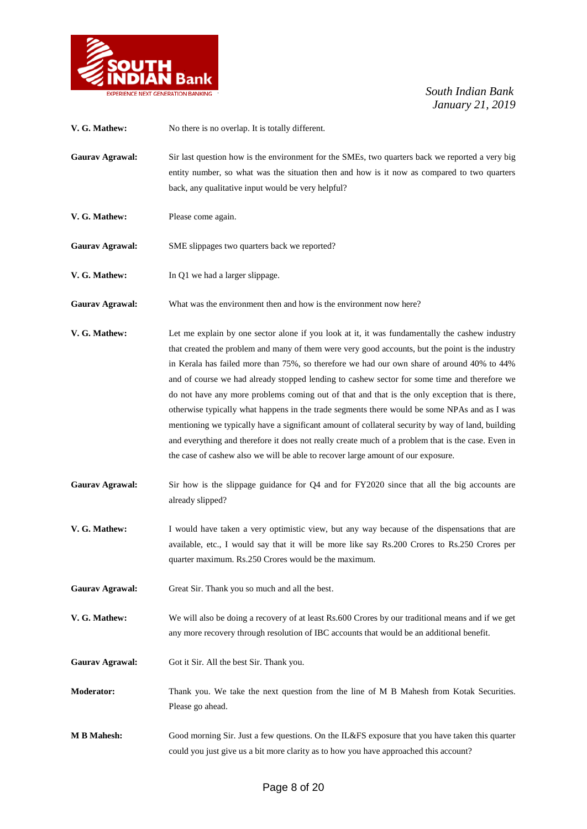

| V. G. Mathew:          | No there is no overlap. It is totally different.                                                                                                                                                                                                                                                                                                                                                                                                                                                                                                                                                                                                                                                                                                                                                                                                                                                  |
|------------------------|---------------------------------------------------------------------------------------------------------------------------------------------------------------------------------------------------------------------------------------------------------------------------------------------------------------------------------------------------------------------------------------------------------------------------------------------------------------------------------------------------------------------------------------------------------------------------------------------------------------------------------------------------------------------------------------------------------------------------------------------------------------------------------------------------------------------------------------------------------------------------------------------------|
| <b>Gaurav Agrawal:</b> | Sir last question how is the environment for the SMEs, two quarters back we reported a very big<br>entity number, so what was the situation then and how is it now as compared to two quarters<br>back, any qualitative input would be very helpful?                                                                                                                                                                                                                                                                                                                                                                                                                                                                                                                                                                                                                                              |
| V. G. Mathew:          | Please come again.                                                                                                                                                                                                                                                                                                                                                                                                                                                                                                                                                                                                                                                                                                                                                                                                                                                                                |
| Gaurav Agrawal:        | SME slippages two quarters back we reported?                                                                                                                                                                                                                                                                                                                                                                                                                                                                                                                                                                                                                                                                                                                                                                                                                                                      |
| V. G. Mathew:          | In Q1 we had a larger slippage.                                                                                                                                                                                                                                                                                                                                                                                                                                                                                                                                                                                                                                                                                                                                                                                                                                                                   |
| <b>Gaurav Agrawal:</b> | What was the environment then and how is the environment now here?                                                                                                                                                                                                                                                                                                                                                                                                                                                                                                                                                                                                                                                                                                                                                                                                                                |
| V. G. Mathew:          | Let me explain by one sector alone if you look at it, it was fundamentally the cashew industry<br>that created the problem and many of them were very good accounts, but the point is the industry<br>in Kerala has failed more than 75%, so therefore we had our own share of around 40% to 44%<br>and of course we had already stopped lending to cashew sector for some time and therefore we<br>do not have any more problems coming out of that and that is the only exception that is there,<br>otherwise typically what happens in the trade segments there would be some NPAs and as I was<br>mentioning we typically have a significant amount of collateral security by way of land, building<br>and everything and therefore it does not really create much of a problem that is the case. Even in<br>the case of cashew also we will be able to recover large amount of our exposure. |
| <b>Gaurav Agrawal:</b> | Sir how is the slippage guidance for $Q_4$ and for FY2020 since that all the big accounts are<br>already slipped?                                                                                                                                                                                                                                                                                                                                                                                                                                                                                                                                                                                                                                                                                                                                                                                 |
| V. G. Mathew:          | I would have taken a very optimistic view, but any way because of the dispensations that are<br>available, etc., I would say that it will be more like say Rs.200 Crores to Rs.250 Crores per<br>quarter maximum. Rs.250 Crores would be the maximum.                                                                                                                                                                                                                                                                                                                                                                                                                                                                                                                                                                                                                                             |
| <b>Gaurav Agrawal:</b> | Great Sir. Thank you so much and all the best.                                                                                                                                                                                                                                                                                                                                                                                                                                                                                                                                                                                                                                                                                                                                                                                                                                                    |
| V. G. Mathew:          | We will also be doing a recovery of at least Rs.600 Crores by our traditional means and if we get<br>any more recovery through resolution of IBC accounts that would be an additional benefit.                                                                                                                                                                                                                                                                                                                                                                                                                                                                                                                                                                                                                                                                                                    |
| <b>Gaurav Agrawal:</b> | Got it Sir. All the best Sir. Thank you.                                                                                                                                                                                                                                                                                                                                                                                                                                                                                                                                                                                                                                                                                                                                                                                                                                                          |
| <b>Moderator:</b>      | Thank you. We take the next question from the line of M B Mahesh from Kotak Securities.<br>Please go ahead.                                                                                                                                                                                                                                                                                                                                                                                                                                                                                                                                                                                                                                                                                                                                                                                       |
| <b>M B Mahesh:</b>     | Good morning Sir. Just a few questions. On the IL&FS exposure that you have taken this quarter<br>could you just give us a bit more clarity as to how you have approached this account?                                                                                                                                                                                                                                                                                                                                                                                                                                                                                                                                                                                                                                                                                                           |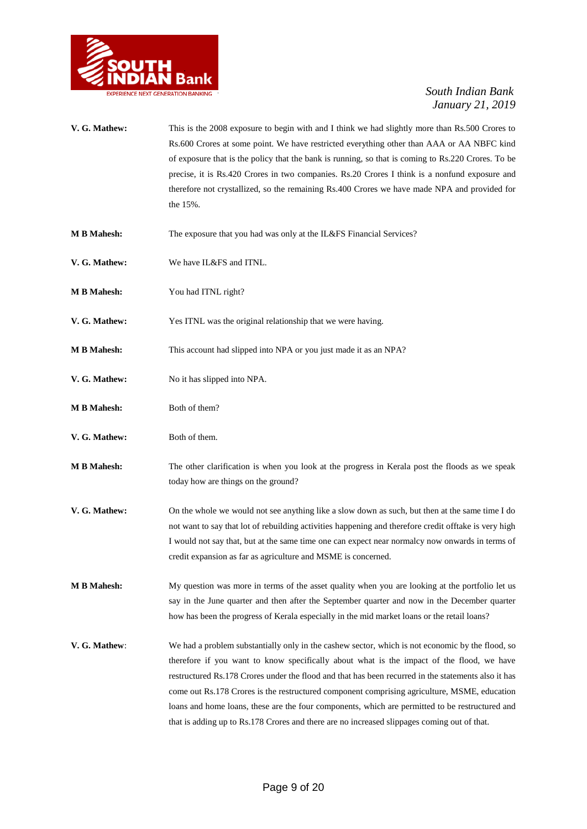

- **V. G. Mathew:** This is the 2008 exposure to begin with and I think we had slightly more than Rs.500 Crores to Rs.600 Crores at some point. We have restricted everything other than AAA or AA NBFC kind of exposure that is the policy that the bank is running, so that is coming to Rs.220 Crores. To be precise, it is Rs.420 Crores in two companies. Rs.20 Crores I think is a nonfund exposure and therefore not crystallized, so the remaining Rs.400 Crores we have made NPA and provided for the 15%.
- **M B Mahesh:** The exposure that you had was only at the IL&FS Financial Services?
- **V. G. Mathew:** We have IL&FS and ITNL.
- **M B Mahesh:** You had ITNL right?
- **V. G. Mathew:** Yes ITNL was the original relationship that we were having.
- **M B Mahesh:** This account had slipped into NPA or you just made it as an NPA?
- **V. G. Mathew:** No it has slipped into NPA.
- **M B Mahesh:** Both of them?
- **V. G. Mathew:** Both of them.
- **M B Mahesh:** The other clarification is when you look at the progress in Kerala post the floods as we speak today how are things on the ground?
- **V. G. Mathew:** On the whole we would not see anything like a slow down as such, but then at the same time I do not want to say that lot of rebuilding activities happening and therefore credit offtake is very high I would not say that, but at the same time one can expect near normalcy now onwards in terms of credit expansion as far as agriculture and MSME is concerned.
- **M B Mahesh:** My question was more in terms of the asset quality when you are looking at the portfolio let us say in the June quarter and then after the September quarter and now in the December quarter how has been the progress of Kerala especially in the mid market loans or the retail loans?
- **V. G. Mathew**: We had a problem substantially only in the cashew sector, which is not economic by the flood, so therefore if you want to know specifically about what is the impact of the flood, we have restructured Rs.178 Crores under the flood and that has been recurred in the statements also it has come out Rs.178 Crores is the restructured component comprising agriculture, MSME, education loans and home loans, these are the four components, which are permitted to be restructured and that is adding up to Rs.178 Crores and there are no increased slippages coming out of that.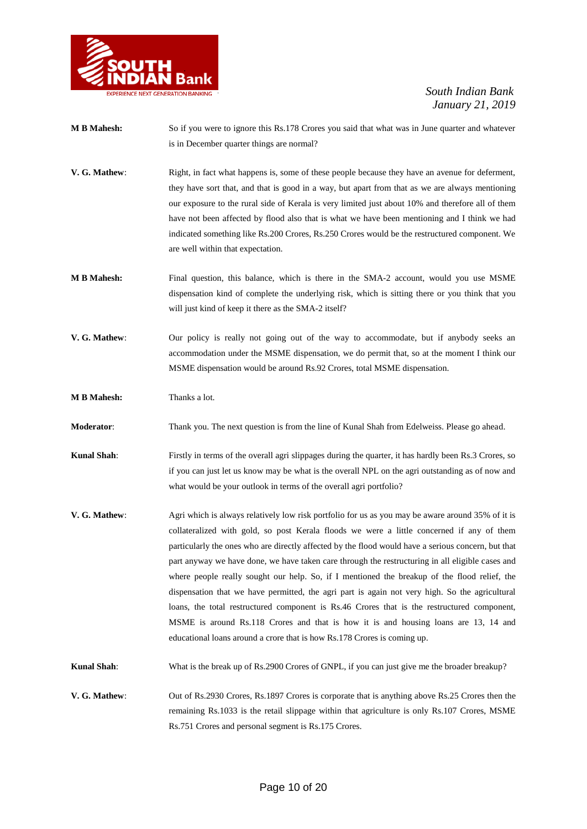

- **M B Mahesh:** So if you were to ignore this Rs.178 Crores you said that what was in June quarter and whatever is in December quarter things are normal?
- **V. G. Mathew:** Right, in fact what happens is, some of these people because they have an avenue for deferment, they have sort that, and that is good in a way, but apart from that as we are always mentioning our exposure to the rural side of Kerala is very limited just about 10% and therefore all of them have not been affected by flood also that is what we have been mentioning and I think we had indicated something like Rs.200 Crores, Rs.250 Crores would be the restructured component. We are well within that expectation.
- **M B Mahesh:** Final question, this balance, which is there in the SMA-2 account, would you use MSME dispensation kind of complete the underlying risk, which is sitting there or you think that you will just kind of keep it there as the SMA-2 itself?
- **V. G. Mathew**: Our policy is really not going out of the way to accommodate, but if anybody seeks an accommodation under the MSME dispensation, we do permit that, so at the moment I think our MSME dispensation would be around Rs.92 Crores, total MSME dispensation.

**M B Mahesh:** Thanks a lot.

**Moderator**: Thank you. The next question is from the line of Kunal Shah from Edelweiss. Please go ahead.

**Kunal Shah:** Firstly in terms of the overall agri slippages during the quarter, it has hardly been Rs.3 Crores, so if you can just let us know may be what is the overall NPL on the agri outstanding as of now and what would be your outlook in terms of the overall agri portfolio?

- **V. G. Mathew**: Agri which is always relatively low risk portfolio for us as you may be aware around 35% of it is collateralized with gold, so post Kerala floods we were a little concerned if any of them particularly the ones who are directly affected by the flood would have a serious concern, but that part anyway we have done, we have taken care through the restructuring in all eligible cases and where people really sought our help. So, if I mentioned the breakup of the flood relief, the dispensation that we have permitted, the agri part is again not very high. So the agricultural loans, the total restructured component is Rs.46 Crores that is the restructured component, MSME is around Rs.118 Crores and that is how it is and housing loans are 13, 14 and educational loans around a crore that is how Rs.178 Crores is coming up.
- **Kunal Shah:** What is the break up of Rs.2900 Crores of GNPL, if you can just give me the broader breakup?
- **V. G. Mathew**: Out of Rs.2930 Crores, Rs.1897 Crores is corporate that is anything above Rs.25 Crores then the remaining Rs.1033 is the retail slippage within that agriculture is only Rs.107 Crores, MSME Rs.751 Crores and personal segment is Rs.175 Crores.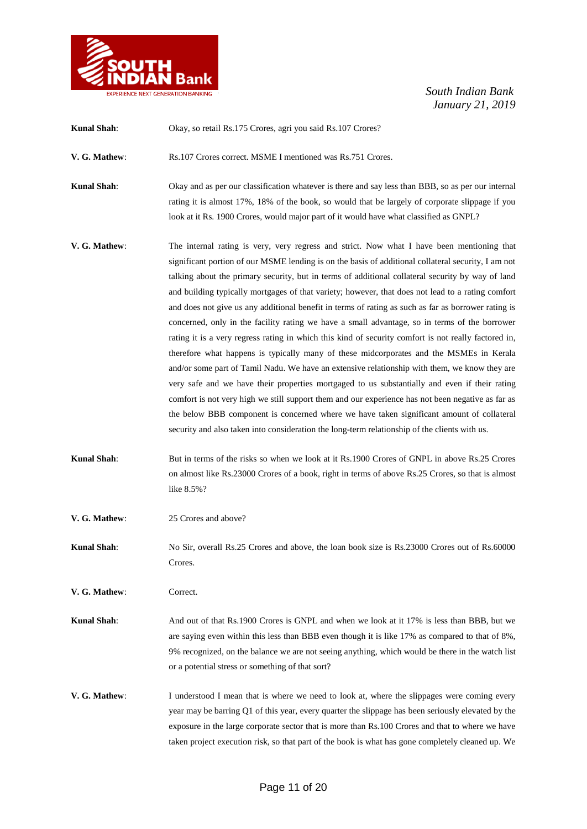

| <b>Kunal Shah:</b> | Okay, so retail Rs.175 Crores, agri you said Rs.107 Crores?                                                                                                                                                                                                                                                                                                                                                                                                                                                                                                                                                                                                                                                                                                                                                                                                                                                                                                                                                                                                                                                                                                                                                                                                                                                                 |
|--------------------|-----------------------------------------------------------------------------------------------------------------------------------------------------------------------------------------------------------------------------------------------------------------------------------------------------------------------------------------------------------------------------------------------------------------------------------------------------------------------------------------------------------------------------------------------------------------------------------------------------------------------------------------------------------------------------------------------------------------------------------------------------------------------------------------------------------------------------------------------------------------------------------------------------------------------------------------------------------------------------------------------------------------------------------------------------------------------------------------------------------------------------------------------------------------------------------------------------------------------------------------------------------------------------------------------------------------------------|
| V. G. Mathew:      | Rs.107 Crores correct. MSME I mentioned was Rs.751 Crores.                                                                                                                                                                                                                                                                                                                                                                                                                                                                                                                                                                                                                                                                                                                                                                                                                                                                                                                                                                                                                                                                                                                                                                                                                                                                  |
| <b>Kunal Shah:</b> | Okay and as per our classification whatever is there and say less than BBB, so as per our internal<br>rating it is almost 17%, 18% of the book, so would that be largely of corporate slippage if you<br>look at it Rs. 1900 Crores, would major part of it would have what classified as GNPL?                                                                                                                                                                                                                                                                                                                                                                                                                                                                                                                                                                                                                                                                                                                                                                                                                                                                                                                                                                                                                             |
| V. G. Mathew:      | The internal rating is very, very regress and strict. Now what I have been mentioning that<br>significant portion of our MSME lending is on the basis of additional collateral security, I am not<br>talking about the primary security, but in terms of additional collateral security by way of land<br>and building typically mortgages of that variety; however, that does not lead to a rating comfort<br>and does not give us any additional benefit in terms of rating as such as far as borrower rating is<br>concerned, only in the facility rating we have a small advantage, so in terms of the borrower<br>rating it is a very regress rating in which this kind of security comfort is not really factored in,<br>therefore what happens is typically many of these midcorporates and the MSMEs in Kerala<br>and/or some part of Tamil Nadu. We have an extensive relationship with them, we know they are<br>very safe and we have their properties mortgaged to us substantially and even if their rating<br>comfort is not very high we still support them and our experience has not been negative as far as<br>the below BBB component is concerned where we have taken significant amount of collateral<br>security and also taken into consideration the long-term relationship of the clients with us. |
| <b>Kunal Shah:</b> | But in terms of the risks so when we look at it Rs.1900 Crores of GNPL in above Rs.25 Crores<br>on almost like Rs.23000 Crores of a book, right in terms of above Rs.25 Crores, so that is almost<br>like 8.5%?                                                                                                                                                                                                                                                                                                                                                                                                                                                                                                                                                                                                                                                                                                                                                                                                                                                                                                                                                                                                                                                                                                             |
| V. G. Mathew:      | 25 Crores and above?                                                                                                                                                                                                                                                                                                                                                                                                                                                                                                                                                                                                                                                                                                                                                                                                                                                                                                                                                                                                                                                                                                                                                                                                                                                                                                        |
| <b>Kunal Shah:</b> | No Sir, overall Rs.25 Crores and above, the loan book size is Rs.23000 Crores out of Rs.60000<br>Crores.                                                                                                                                                                                                                                                                                                                                                                                                                                                                                                                                                                                                                                                                                                                                                                                                                                                                                                                                                                                                                                                                                                                                                                                                                    |
| V. G. Mathew:      | Correct.                                                                                                                                                                                                                                                                                                                                                                                                                                                                                                                                                                                                                                                                                                                                                                                                                                                                                                                                                                                                                                                                                                                                                                                                                                                                                                                    |
| <b>Kunal Shah:</b> | And out of that Rs.1900 Crores is GNPL and when we look at it 17% is less than BBB, but we<br>are saying even within this less than BBB even though it is like 17% as compared to that of 8%,<br>9% recognized, on the balance we are not seeing anything, which would be there in the watch list<br>or a potential stress or something of that sort?                                                                                                                                                                                                                                                                                                                                                                                                                                                                                                                                                                                                                                                                                                                                                                                                                                                                                                                                                                       |
| V. G. Mathew:      | I understood I mean that is where we need to look at, where the slippages were coming every<br>year may be barring Q1 of this year, every quarter the slippage has been seriously elevated by the<br>exposure in the large corporate sector that is more than Rs.100 Crores and that to where we have<br>taken project execution risk, so that part of the book is what has gone completely cleaned up. We                                                                                                                                                                                                                                                                                                                                                                                                                                                                                                                                                                                                                                                                                                                                                                                                                                                                                                                  |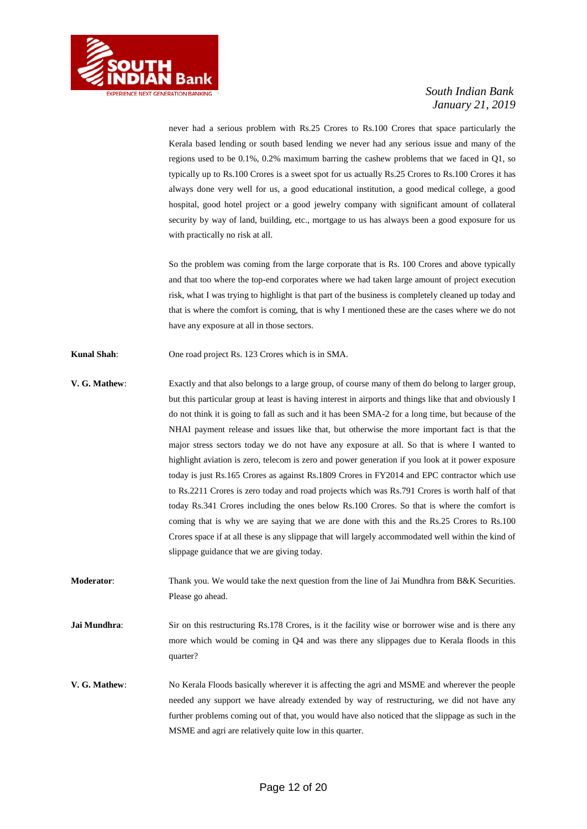

never had a serious problem with Rs.25 Crores to Rs.100 Crores that space particularly the Kerala based lending or south based lending we never had any serious issue and many of the regions used to be 0.1%, 0.2% maximum barring the cashew problems that we faced in Q1, so typically up to Rs.100 Crores is a sweet spot for us actually Rs.25 Crores to Rs.100 Crores it has always done very well for us, a good educational institution, a good medical college, a good hospital, good hotel project or a good jewelry company with significant amount of collateral security by way of land, building, etc., mortgage to us has always been a good exposure for us with practically no risk at all.

So the problem was coming from the large corporate that is Rs. 100 Crores and above typically and that too where the top-end corporates where we had taken large amount of project execution risk, what I was trying to highlight is that part of the business is completely cleaned up today and that is where the comfort is coming, that is why I mentioned these are the cases where we do not have any exposure at all in those sectors.

**Kunal Shah**: One road project Rs. 123 Crores which is in SMA.

- **V. G. Mathew**: Exactly and that also belongs to a large group, of course many of them do belong to larger group, but this particular group at least is having interest in airports and things like that and obviously I do not think it is going to fall as such and it has been SMA-2 for a long time, but because of the NHAI payment release and issues like that, but otherwise the more important fact is that the major stress sectors today we do not have any exposure at all. So that is where I wanted to highlight aviation is zero, telecom is zero and power generation if you look at it power exposure today is just Rs.165 Crores as against Rs.1809 Crores in FY2014 and EPC contractor which use to Rs.2211 Crores is zero today and road projects which was Rs.791 Crores is worth half of that today Rs.341 Crores including the ones below Rs.100 Crores. So that is where the comfort is coming that is why we are saying that we are done with this and the Rs.25 Crores to Rs.100 Crores space if at all these is any slippage that will largely accommodated well within the kind of slippage guidance that we are giving today.
- **Moderator:** Thank you. We would take the next question from the line of Jai Mundhra from B&K Securities. Please go ahead.
- **Jai Mundhra:** Sir on this restructuring Rs.178 Crores, is it the facility wise or borrower wise and is there any more which would be coming in Q4 and was there any slippages due to Kerala floods in this quarter?
- **V. G. Mathew**: No Kerala Floods basically wherever it is affecting the agri and MSME and wherever the people needed any support we have already extended by way of restructuring, we did not have any further problems coming out of that, you would have also noticed that the slippage as such in the MSME and agri are relatively quite low in this quarter.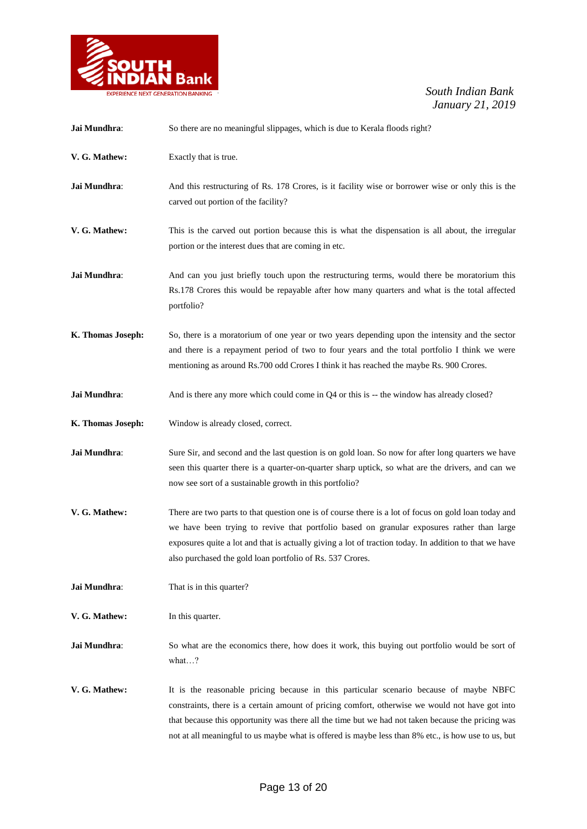

| Jai Mundhra:      | So there are no meaningful slippages, which is due to Kerala floods right?                                                                                                                                                                                                                                                                                                                            |
|-------------------|-------------------------------------------------------------------------------------------------------------------------------------------------------------------------------------------------------------------------------------------------------------------------------------------------------------------------------------------------------------------------------------------------------|
| V. G. Mathew:     | Exactly that is true.                                                                                                                                                                                                                                                                                                                                                                                 |
| Jai Mundhra:      | And this restructuring of Rs. 178 Crores, is it facility wise or borrower wise or only this is the<br>carved out portion of the facility?                                                                                                                                                                                                                                                             |
| V. G. Mathew:     | This is the carved out portion because this is what the dispensation is all about, the irregular<br>portion or the interest dues that are coming in etc.                                                                                                                                                                                                                                              |
| Jai Mundhra:      | And can you just briefly touch upon the restructuring terms, would there be moratorium this<br>Rs.178 Crores this would be repayable after how many quarters and what is the total affected<br>portfolio?                                                                                                                                                                                             |
| K. Thomas Joseph: | So, there is a moratorium of one year or two years depending upon the intensity and the sector<br>and there is a repayment period of two to four years and the total portfolio I think we were<br>mentioning as around Rs.700 odd Crores I think it has reached the maybe Rs. 900 Crores.                                                                                                             |
| Jai Mundhra:      | And is there any more which could come in Q4 or this is -- the window has already closed?                                                                                                                                                                                                                                                                                                             |
| K. Thomas Joseph: | Window is already closed, correct.                                                                                                                                                                                                                                                                                                                                                                    |
| Jai Mundhra:      | Sure Sir, and second and the last question is on gold loan. So now for after long quarters we have<br>seen this quarter there is a quarter-on-quarter sharp uptick, so what are the drivers, and can we<br>now see sort of a sustainable growth in this portfolio?                                                                                                                                    |
| V. G. Mathew:     | There are two parts to that question one is of course there is a lot of focus on gold loan today and<br>we have been trying to revive that portfolio based on granular exposures rather than large<br>exposures quite a lot and that is actually giving a lot of traction today. In addition to that we have<br>also purchased the gold loan portfolio of Rs. 537 Crores.                             |
| Jai Mundhra:      | That is in this quarter?                                                                                                                                                                                                                                                                                                                                                                              |
| V. G. Mathew:     | In this quarter.                                                                                                                                                                                                                                                                                                                                                                                      |
| Jai Mundhra:      | So what are the economics there, how does it work, this buying out portfolio would be sort of<br>what?                                                                                                                                                                                                                                                                                                |
| V. G. Mathew:     | It is the reasonable pricing because in this particular scenario because of maybe NBFC<br>constraints, there is a certain amount of pricing comfort, otherwise we would not have got into<br>that because this opportunity was there all the time but we had not taken because the pricing was<br>not at all meaningful to us maybe what is offered is maybe less than 8% etc., is how use to us, but |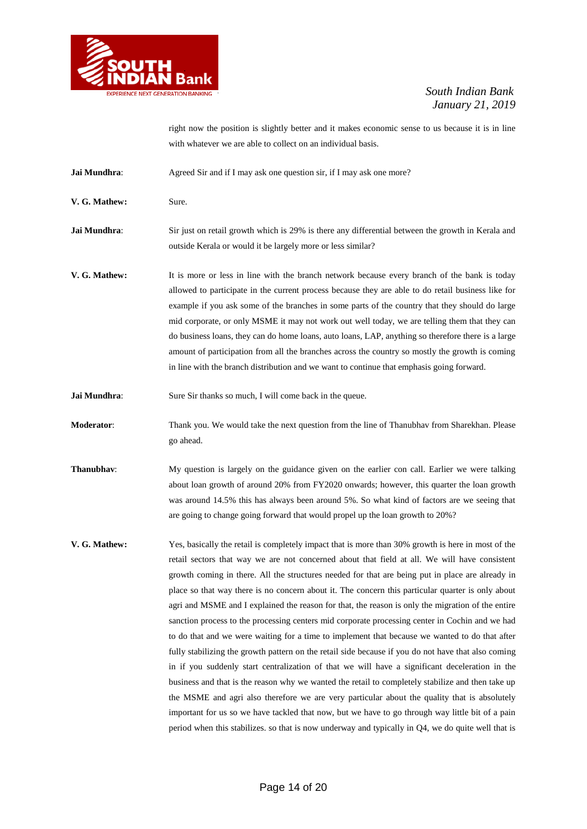

right now the position is slightly better and it makes economic sense to us because it is in line with whatever we are able to collect on an individual basis.

**Jai Mundhra:** Agreed Sir and if I may ask one question sir, if I may ask one more?

**V. G. Mathew:** Sure.

**Jai Mundhra:** Sir just on retail growth which is 29% is there any differential between the growth in Kerala and outside Kerala or would it be largely more or less similar?

**V. G. Mathew:** It is more or less in line with the branch network because every branch of the bank is today allowed to participate in the current process because they are able to do retail business like for example if you ask some of the branches in some parts of the country that they should do large mid corporate, or only MSME it may not work out well today, we are telling them that they can do business loans, they can do home loans, auto loans, LAP, anything so therefore there is a large amount of participation from all the branches across the country so mostly the growth is coming in line with the branch distribution and we want to continue that emphasis going forward.

**Jai Mundhra:** Sure Sir thanks so much, I will come back in the queue.

**Moderator**: Thank you. We would take the next question from the line of Thanubhav from Sharekhan. Please go ahead.

- **Thanubhav:** My question is largely on the guidance given on the earlier con call. Earlier we were talking about loan growth of around 20% from FY2020 onwards; however, this quarter the loan growth was around 14.5% this has always been around 5%. So what kind of factors are we seeing that are going to change going forward that would propel up the loan growth to 20%?
- **V. G. Mathew:** Yes, basically the retail is completely impact that is more than 30% growth is here in most of the retail sectors that way we are not concerned about that field at all. We will have consistent growth coming in there. All the structures needed for that are being put in place are already in place so that way there is no concern about it. The concern this particular quarter is only about agri and MSME and I explained the reason for that, the reason is only the migration of the entire sanction process to the processing centers mid corporate processing center in Cochin and we had to do that and we were waiting for a time to implement that because we wanted to do that after fully stabilizing the growth pattern on the retail side because if you do not have that also coming in if you suddenly start centralization of that we will have a significant deceleration in the business and that is the reason why we wanted the retail to completely stabilize and then take up the MSME and agri also therefore we are very particular about the quality that is absolutely important for us so we have tackled that now, but we have to go through way little bit of a pain period when this stabilizes. so that is now underway and typically in Q4, we do quite well that is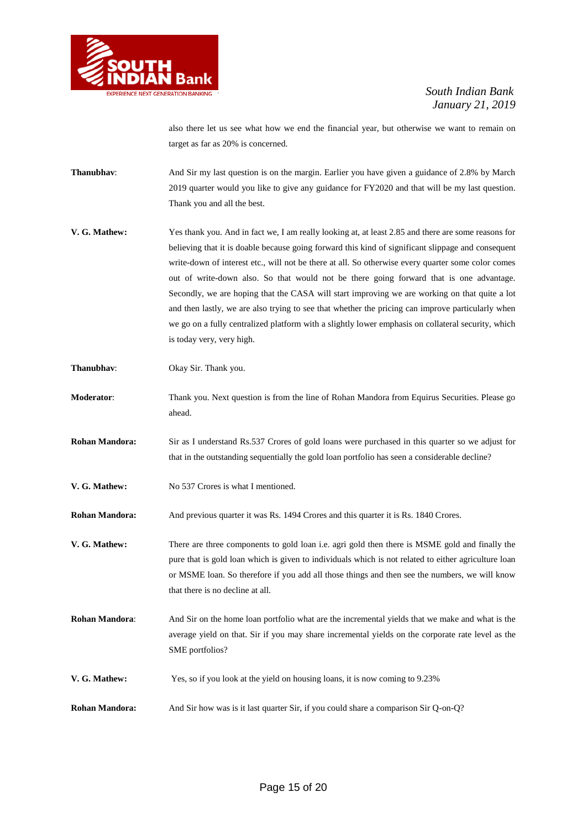

also there let us see what how we end the financial year, but otherwise we want to remain on target as far as 20% is concerned.

- **Thanubhav:** And Sir my last question is on the margin. Earlier you have given a guidance of 2.8% by March 2019 quarter would you like to give any guidance for FY2020 and that will be my last question. Thank you and all the best.
- **V. G. Mathew:** Yes thank you. And in fact we, I am really looking at, at least 2.85 and there are some reasons for believing that it is doable because going forward this kind of significant slippage and consequent write-down of interest etc., will not be there at all. So otherwise every quarter some color comes out of write-down also. So that would not be there going forward that is one advantage. Secondly, we are hoping that the CASA will start improving we are working on that quite a lot and then lastly, we are also trying to see that whether the pricing can improve particularly when we go on a fully centralized platform with a slightly lower emphasis on collateral security, which is today very, very high.
- **Thanubhav**: Okay Sir. Thank you.
- **Moderator**: Thank you. Next question is from the line of Rohan Mandora from Equirus Securities. Please go ahead.
- **Rohan Mandora:** Sir as I understand Rs.537 Crores of gold loans were purchased in this quarter so we adjust for that in the outstanding sequentially the gold loan portfolio has seen a considerable decline?
- **V. G. Mathew:** No 537 Crores is what I mentioned.
- **Rohan Mandora:** And previous quarter it was Rs. 1494 Crores and this quarter it is Rs. 1840 Crores.
- **V. G. Mathew:** There are three components to gold loan i.e. agri gold then there is MSME gold and finally the pure that is gold loan which is given to individuals which is not related to either agriculture loan or MSME loan. So therefore if you add all those things and then see the numbers, we will know that there is no decline at all.
- **Rohan Mandora**: And Sir on the home loan portfolio what are the incremental yields that we make and what is the average yield on that. Sir if you may share incremental yields on the corporate rate level as the SME portfolios?
- **V. G. Mathew:** Yes, so if you look at the yield on housing loans, it is now coming to 9.23%
- **Rohan Mandora:** And Sir how was is it last quarter Sir, if you could share a comparison Sir Q-on-Q?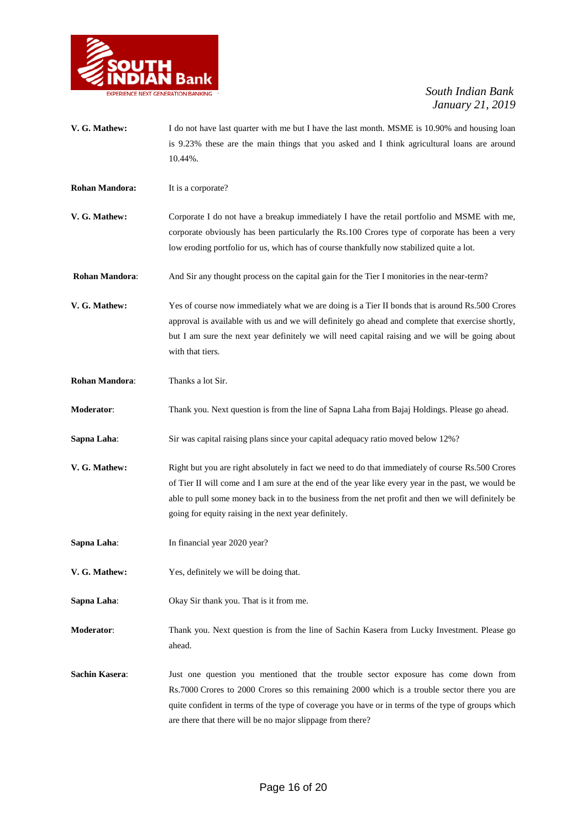

- **V. G. Mathew:** I do not have last quarter with me but I have the last month. MSME is 10.90% and housing loan is 9.23% these are the main things that you asked and I think agricultural loans are around 10.44%.
- **Rohan Mandora:** It is a corporate?
- **V. G. Mathew:** Corporate I do not have a breakup immediately I have the retail portfolio and MSME with me, corporate obviously has been particularly the Rs.100 Crores type of corporate has been a very low eroding portfolio for us, which has of course thankfully now stabilized quite a lot.
- **Rohan Mandora:** And Sir any thought process on the capital gain for the Tier I monitories in the near-term?
- **V. G. Mathew:** Yes of course now immediately what we are doing is a Tier II bonds that is around Rs.500 Crores approval is available with us and we will definitely go ahead and complete that exercise shortly, but I am sure the next year definitely we will need capital raising and we will be going about with that tiers.
- **Rohan Mandora**: Thanks a lot Sir.
- **Moderator**: Thank you. Next question is from the line of Sapna Laha from Bajaj Holdings. Please go ahead.
- **Sapna Laha:** Sir was capital raising plans since your capital adequacy ratio moved below 12%?
- V. G. Mathew: Right but you are right absolutely in fact we need to do that immediately of course Rs.500 Crores of Tier II will come and I am sure at the end of the year like every year in the past, we would be able to pull some money back in to the business from the net profit and then we will definitely be going for equity raising in the next year definitely.
- **Sapna Laha:** In financial year 2020 year?
- **V. G. Mathew:** Yes, definitely we will be doing that.
- **Sapna Laha**: Okay Sir thank you. That is it from me.
- **Moderator**: Thank you. Next question is from the line of Sachin Kasera from Lucky Investment. Please go ahead.
- **Sachin Kasera**: Just one question you mentioned that the trouble sector exposure has come down from Rs.7000 Crores to 2000 Crores so this remaining 2000 which is a trouble sector there you are quite confident in terms of the type of coverage you have or in terms of the type of groups which are there that there will be no major slippage from there?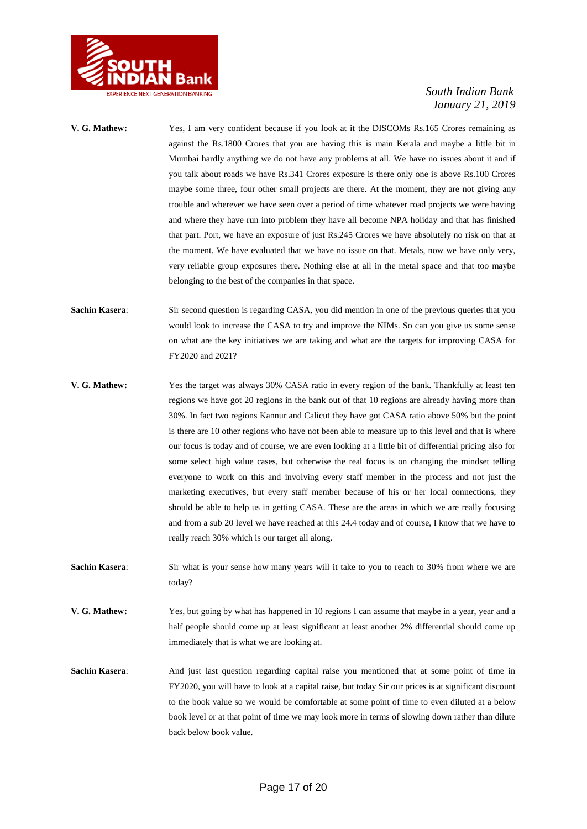

- **V. G. Mathew:** Yes, I am very confident because if you look at it the DISCOMs Rs.165 Crores remaining as against the Rs.1800 Crores that you are having this is main Kerala and maybe a little bit in Mumbai hardly anything we do not have any problems at all. We have no issues about it and if you talk about roads we have Rs.341 Crores exposure is there only one is above Rs.100 Crores maybe some three, four other small projects are there. At the moment, they are not giving any trouble and wherever we have seen over a period of time whatever road projects we were having and where they have run into problem they have all become NPA holiday and that has finished that part. Port, we have an exposure of just Rs.245 Crores we have absolutely no risk on that at the moment. We have evaluated that we have no issue on that. Metals, now we have only very, very reliable group exposures there. Nothing else at all in the metal space and that too maybe belonging to the best of the companies in that space.
- **Sachin Kasera:** Sir second question is regarding CASA, you did mention in one of the previous queries that you would look to increase the CASA to try and improve the NIMs. So can you give us some sense on what are the key initiatives we are taking and what are the targets for improving CASA for FY2020 and 2021?
- **V. G. Mathew:** Yes the target was always 30% CASA ratio in every region of the bank. Thankfully at least ten regions we have got 20 regions in the bank out of that 10 regions are already having more than 30%. In fact two regions Kannur and Calicut they have got CASA ratio above 50% but the point is there are 10 other regions who have not been able to measure up to this level and that is where our focus is today and of course, we are even looking at a little bit of differential pricing also for some select high value cases, but otherwise the real focus is on changing the mindset telling everyone to work on this and involving every staff member in the process and not just the marketing executives, but every staff member because of his or her local connections, they should be able to help us in getting CASA. These are the areas in which we are really focusing and from a sub 20 level we have reached at this 24.4 today and of course, I know that we have to really reach 30% which is our target all along.
- **Sachin Kasera:** Sir what is your sense how many years will it take to you to reach to 30% from where we are today?
- **V. G. Mathew:** Yes, but going by what has happened in 10 regions I can assume that maybe in a year, year and a half people should come up at least significant at least another 2% differential should come up immediately that is what we are looking at.
- **Sachin Kasera**: And just last question regarding capital raise you mentioned that at some point of time in FY2020, you will have to look at a capital raise, but today Sir our prices is at significant discount to the book value so we would be comfortable at some point of time to even diluted at a below book level or at that point of time we may look more in terms of slowing down rather than dilute back below book value.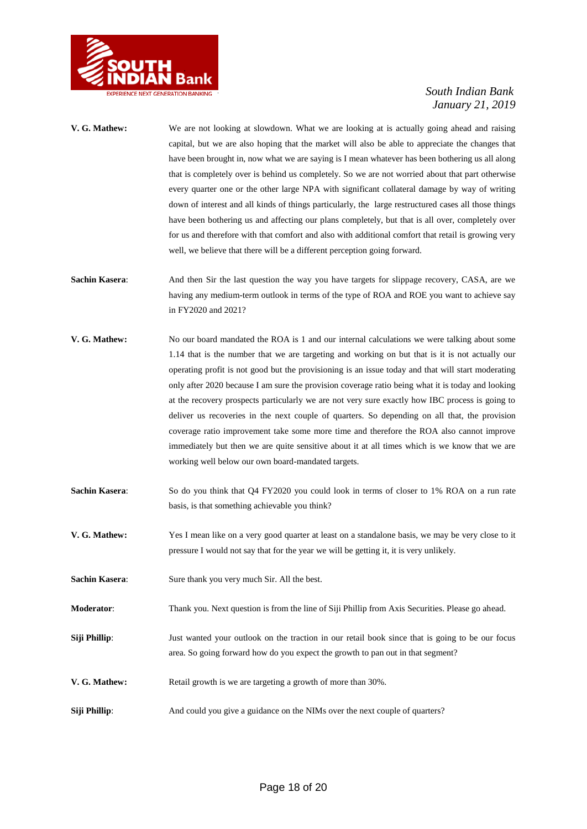

- **V. G. Mathew:** We are not looking at slowdown. What we are looking at is actually going ahead and raising capital, but we are also hoping that the market will also be able to appreciate the changes that have been brought in, now what we are saying is I mean whatever has been bothering us all along that is completely over is behind us completely. So we are not worried about that part otherwise every quarter one or the other large NPA with significant collateral damage by way of writing down of interest and all kinds of things particularly, the large restructured cases all those things have been bothering us and affecting our plans completely, but that is all over, completely over for us and therefore with that comfort and also with additional comfort that retail is growing very well, we believe that there will be a different perception going forward.
- **Sachin Kasera:** And then Sir the last question the way you have targets for slippage recovery, CASA, are we having any medium-term outlook in terms of the type of ROA and ROE you want to achieve say in FY2020 and 2021?
- **V. G. Mathew:** No our board mandated the ROA is 1 and our internal calculations we were talking about some 1.14 that is the number that we are targeting and working on but that is it is not actually our operating profit is not good but the provisioning is an issue today and that will start moderating only after 2020 because I am sure the provision coverage ratio being what it is today and looking at the recovery prospects particularly we are not very sure exactly how IBC process is going to deliver us recoveries in the next couple of quarters. So depending on all that, the provision coverage ratio improvement take some more time and therefore the ROA also cannot improve immediately but then we are quite sensitive about it at all times which is we know that we are working well below our own board-mandated targets.
- **Sachin Kasera:** So do you think that Q4 FY2020 you could look in terms of closer to 1% ROA on a run rate basis, is that something achievable you think?
- **V. G. Mathew:** Yes I mean like on a very good quarter at least on a standalone basis, we may be very close to it pressure I would not say that for the year we will be getting it, it is very unlikely.
- **Sachin Kasera:** Sure thank you very much Sir. All the best.
- **Moderator**: Thank you. Next question is from the line of Siji Phillip from Axis Securities. Please go ahead.
- **Siji Phillip**: Just wanted your outlook on the traction in our retail book since that is going to be our focus area. So going forward how do you expect the growth to pan out in that segment?
- **V. G. Mathew:** Retail growth is we are targeting a growth of more than 30%.
- **Siji Phillip**: And could you give a guidance on the NIMs over the next couple of quarters?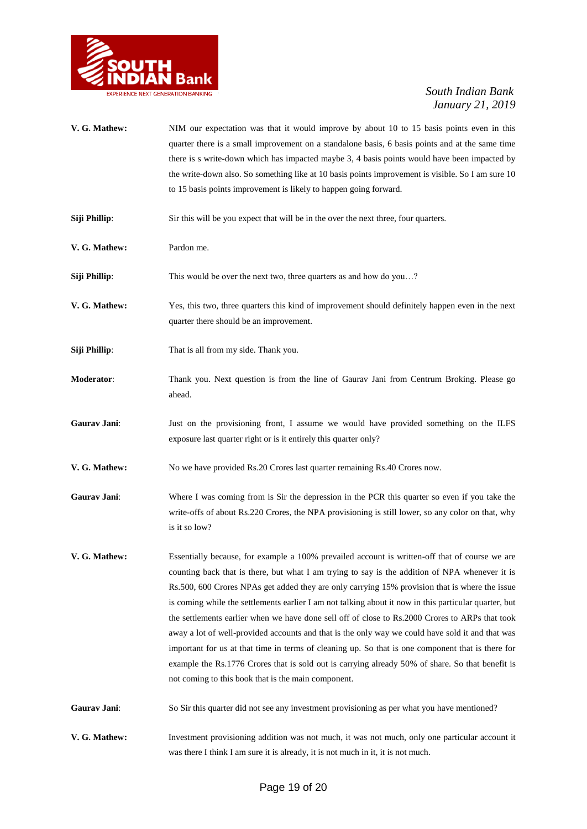

- **V. G. Mathew:** NIM our expectation was that it would improve by about 10 to 15 basis points even in this quarter there is a small improvement on a standalone basis, 6 basis points and at the same time there is s write-down which has impacted maybe 3, 4 basis points would have been impacted by the write-down also. So something like at 10 basis points improvement is visible. So I am sure 10 to 15 basis points improvement is likely to happen going forward.
- **Siji Phillip**: Sir this will be you expect that will be in the over the next three, four quarters.
- **V. G. Mathew:** Pardon me.
- **Siji Phillip**: This would be over the next two, three quarters as and how do you...?
- **V. G. Mathew:** Yes, this two, three quarters this kind of improvement should definitely happen even in the next quarter there should be an improvement.
- **Siji Phillip**: That is all from my side. Thank you.
- **Moderator**: Thank you. Next question is from the line of Gaurav Jani from Centrum Broking. Please go ahead.
- **Gaurav Jani**: Just on the provisioning front, I assume we would have provided something on the ILFS exposure last quarter right or is it entirely this quarter only?
- **V. G. Mathew:** No we have provided Rs.20 Crores last quarter remaining Rs.40 Crores now.
- **Gaurav Jani:** Where I was coming from is Sir the depression in the PCR this quarter so even if you take the write-offs of about Rs.220 Crores, the NPA provisioning is still lower, so any color on that, why is it so low?
- **V. G. Mathew:** Essentially because, for example a 100% prevailed account is written-off that of course we are counting back that is there, but what I am trying to say is the addition of NPA whenever it is Rs.500, 600 Crores NPAs get added they are only carrying 15% provision that is where the issue is coming while the settlements earlier I am not talking about it now in this particular quarter, but the settlements earlier when we have done sell off of close to Rs.2000 Crores to ARPs that took away a lot of well-provided accounts and that is the only way we could have sold it and that was important for us at that time in terms of cleaning up. So that is one component that is there for example the Rs.1776 Crores that is sold out is carrying already 50% of share. So that benefit is not coming to this book that is the main component.
- Gaurav Jani: So Sir this quarter did not see any investment provisioning as per what you have mentioned?
- **V. G. Mathew:** Investment provisioning addition was not much, it was not much, only one particular account it was there I think I am sure it is already, it is not much in it, it is not much.